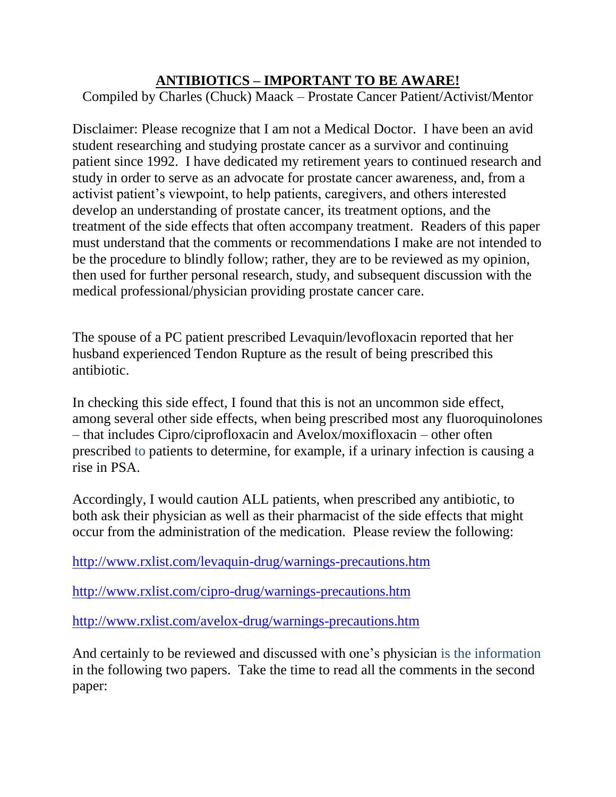# **ANTIBIOTICS – IMPORTANT TO BE AWARE!**

Compiled by Charles (Chuck) Maack – Prostate Cancer Patient/Activist/Mentor

Disclaimer: Please recognize that I am not a Medical Doctor. I have been an avid student researching and studying prostate cancer as a survivor and continuing patient since 1992. I have dedicated my retirement years to continued research and study in order to serve as an advocate for prostate cancer awareness, and, from a activist patient's viewpoint, to help patients, caregivers, and others interested develop an understanding of prostate cancer, its treatment options, and the treatment of the side effects that often accompany treatment. Readers of this paper must understand that the comments or recommendations I make are not intended to be the procedure to blindly follow; rather, they are to be reviewed as my opinion, then used for further personal research, study, and subsequent discussion with the medical professional/physician providing prostate cancer care.

The spouse of a PC patient prescribed Levaquin/levofloxacin reported that her husband experienced Tendon Rupture as the result of being prescribed this antibiotic.

In checking this side effect, I found that this is not an uncommon side effect, among several other side effects, when being prescribed most any fluoroquinolones – that includes Cipro/ciprofloxacin and Avelox/moxifloxacin – other often prescribed to patients to determine, for example, if a urinary infection is causing a rise in PSA.

Accordingly, I would caution ALL patients, when prescribed any antibiotic, to both ask their physician as well as their pharmacist of the side effects that might occur from the administration of the medication. Please review the following:

<http://www.rxlist.com/levaquin-drug/warnings-precautions.htm>

<http://www.rxlist.com/cipro-drug/warnings-precautions.htm>

<http://www.rxlist.com/avelox-drug/warnings-precautions.htm>

And certainly to be reviewed and discussed with one's physician is the information in the following two papers. Take the time to read all the comments in the second paper: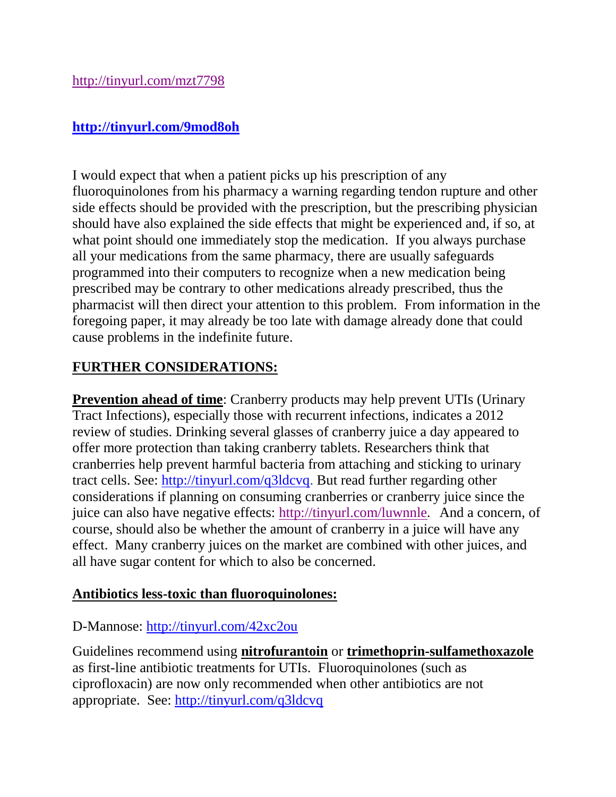## **<http://tinyurl.com/9mod8oh>**

I would expect that when a patient picks up his prescription of any fluoroquinolones from his pharmacy a warning regarding tendon rupture and other side effects should be provided with the prescription, but the prescribing physician should have also explained the side effects that might be experienced and, if so, at what point should one immediately stop the medication. If you always purchase all your medications from the same pharmacy, there are usually safeguards programmed into their computers to recognize when a new medication being prescribed may be contrary to other medications already prescribed, thus the pharmacist will then direct your attention to this problem. From information in the foregoing paper, it may already be too late with damage already done that could cause problems in the indefinite future.

# **FURTHER CONSIDERATIONS:**

**Prevention ahead of time**: Cranberry products may help prevent UTIs (Urinary Tract Infections), especially those with recurrent infections, indicates a 2012 review of studies. Drinking several glasses of cranberry juice a day appeared to offer more protection than taking cranberry tablets. Researchers think that cranberries help prevent harmful bacteria from attaching and sticking to urinary tract cells. See: [http://tinyurl.com/q3ldcvq.](http://tinyurl.com/q3ldcvq) But read further regarding other considerations if planning on consuming cranberries or cranberry juice since the juice can also have negative effects:<http://tinyurl.com/luwnnle>**.** And a concern, of course, should also be whether the amount of cranberry in a juice will have any effect. Many cranberry juices on the market are combined with other juices, and all have sugar content for which to also be concerned.

### **Antibiotics less-toxic than fluoroquinolones:**

### D-Mannose:<http://tinyurl.com/42xc2ou>

Guidelines recommend using **nitrofurantoin** or **trimethoprin-sulfamethoxazole** as first-line antibiotic treatments for UTIs. Fluoroquinolones (such as ciprofloxacin) are now only recommended when other antibiotics are not appropriate. See: <http://tinyurl.com/q3ldcvq>